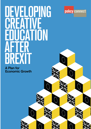# DEVELOPING CREATIVE CATION AFTER BREXIT

A Plan for Economic Growth

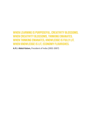#### **WHEN LEARNING IS PURPOSEFUL, CREATIVITY BLOSSOMS. WHEN CREATIVITY BLOSSOMS, THINKING EMANATES. WHEN THINKING EMANATES, KNOWLEDGE IS FULLY LIT. WHEN KNOWLEDGE IS LIT, ECONOMY FLOURISHES.**

**A.P.J. Abdul Kalam,** President of India (2002-2007)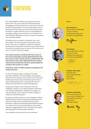

# FOREWO

The United Kingdom will leave the European Union by March 2019. This is the remit that 2016's referendum, the triggering of Article 50 and the result of June's General Election have guaranteed. The process doubtless means a great deal of uncertainty, but also provides opportunities for Britain's creative industries and our world-leading art and design colleges and universities. Our institutions can lead the Brexit negotiations to ensure economic prosperity and sustainable growth.

We believe that our academic institutions have a key role to play in the future growth and prosperity across the UK. They act as a catalyst for national and regional development, working with local authorities and businesses to promote innovation across all sectors of the economy as part of a modern Industrial Strategy.

**The creative industries contributed £87.4bn of value for the country during 2015, growing significantly faster than other sectors of the economy, and at an undiminished rate. Since 2010, the Gross Value Added (GVA) of the creative industries has increased by 34 percent, almost double the average of the economy as a whole.**

**Collectively, nearly 2.8 million people are employed in the creative economy1 .** 

On the international stage, our higher and further education institutions are world leading, attracting top talent from the European Union and the rest of the world. Building upon these strong international partnerships is vital to developing the open, dynamic Britain that all parties have committed to create following Brexit.

Leaving the European Union brings both risks and challenges. However, our creative education institutions and research organisations, working across design, art, craft and fashion, have a vital role to play in acting as a catalyst for post-Brexit growth.

By taking a proactive response to the challenges of Brexit, forging new partnerships, working with existing partners and new markets and by working with Government, Parliament, regional and devolved administrations, Britain can continue to act as the world leader for the creative industries, safeguarding the future for high-value exports, well-paying jobs and international influence.

This manifesto sets out how this can be achieved.



Signed,

#### **Barry Sheerman**

Labour MP for Huddersfield Co-Chair, All Party Parliamentary Design and Innovation Group (APDIG)

**John Howell**



Conservative MP for Henley Co-Chair, All Party Parliamentary Design and Innovation Group (APDIG)





**Professor Anita Taylor** Executive Dean, Art & Design, Bath Spa **University** Chair, CHEAD



**Professor Kerstin Mey** Pro Vice-Chancellor and Dean, Faculty of Media, Arts and Design, University of **Westminster** Vice Chair, CHEAD

Kastri My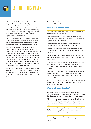

# ABOUT THIS PLAN

In November 2016, Policy Connect and the All Party Design and Innovation Group (APDIG) organised a roundtable for the Council for Higher Education in Art and Design (CHEAD) at the House of Lords. Out of this discussion, the decision was made to develop a plan to set out how the United Kingdom's creative arts institutions could respond to the risks and opportunities posed by Brexit.

Between March and July 2017, Policy Connect and CHEAD organised a series of discursive roundtables around the four home nations to discuss the way forward for creative higher education after Brexit.

These discussions focused on the creative skills pipeline, international recruitment and research partnerships, and the role of creative higher education institutions (HEIs) in a regional context. Working with academics, parliamentarians, businesses and research organisations, these roundtables and this subsequent publication aim to inform policy makers about the huge social and economic benefits generated by creative education, as well as the further potential they offer through good public policy measures.

This plan also draws upon consultation with over thirty creative industry firms that took place during APDIG's consultation with the Design Business Association (DBA) into the Government's Industrial Strategy in April 2017.

We set out a number of recommendations that ensure a post-Brexit Britain that is open and prosperous.

#### **After Brexit, policies must:**

Ensure that the UK's creative HEIs can continue to attract the best talent from abroad by:

- Working towards a post-Brexit deal that allows the UK to continue to participate in existing and future research partnerships with EU bodies
- Maximising continuity with existing standards for international trade and creative collaboration
- Minimising barriers to entry for international students and academics as well as providing attractive post-study pathways

Encourage economic growth by promoting the continued participation of HEIs in regional growth plans and economic development

Facilitate the creative industries to continue its significant contribution to all sectors of the economy by being incorporated as an integral component of the Industrial Strategy

These principles will ensure that policies are implemented to ensure that the creative industries are adaptive to change and available to work with bodies from across the creative sector.

To do this, it is vital that these policies adopt certain values to drive good design and creative principles across all sectors of the economy.

#### **What are these principles?**

Understand the cross-sector value of design and the creative industries to the wider economy in order to ensure that their benefits reach all areas of the United Kingdom

Value international partnerships and research collaboration for higher and further education bodies to ensure that successful relationships are not interrupted as a result of Brexit

Ensure that legislation continues to adapt to changes in the EU and global regulatory framework to ensure that businesses and HEIs are able to plan strategically for future growth and commercial development

Place design and creative thinking at the heart of Government to spread best practice across the public sector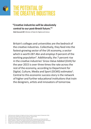## THE POTENTIAL OF THE CREATIVE INDUSTRIES

#### **"Creative industries will be absolutely central to our post-Brexit future."2**

**Matt Hancock MP**, Minister of State for Digital and Culture

Britain's colleges and universities are the bedrock of the creative industries. Collectively, they feed into the fastest-growing sector of the UK economy, a sector which is worth £87.4bn and employs 9 percent of the working population<sup>3</sup>. Additionally, the 7 percent rise in the creative industries' Gross Value Added (GVA) for the year 2015 is over three times the rate across the rest of the economy, according to Department for Digital, Culture, Media and Sport (DCMS) estimates<sup>4</sup>. Central to this economic success story is the network of higher and further educational institutions that train the designers, artists and innovators of tomorrow.

- 2 HM Government, Minister for Digital and Culture Creative Industries speech (9 September 2016)
- 3 HM Government, DCMS Sectors Economic Estimates (August 2016)
- 4 The Creative Industries, UK to the World (February 2017)
- 5 HM Government, DCMS Sectors Economic Estimates 2017: Employment and Trade (July 2017)
- 6 NESTA, Creativity vs. Robots: The creative economy and the future of employment (April 2015) pg. 6 7 parliament.uk, European Union (Withdrawal) Bill 2017-19, (Retrieved 25th July, 2017)
- Design Council, Why Design Matters: Creative Skills and Employment (14th July, 2017)
-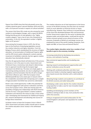Figures from DCMS show that that job growth across the creative industries grew 5 percent between 2014 and 2015, with a 16.9 percent increase in exports of cultural activities<sup>5</sup>.

The careers that these HEIs create are also among the most resilient to technological changes, with a report by NESTA finding that 86 percent of roles globally in the "highly creative category" have a low to zero risk of being lost to automation. In the UK, the equivalent number is slightly higher at 87 percent.<sup>6</sup>

Since joining the European Union in 1973, the UK has been at the forefront of developing legislation around the creative industries and higher education. From the Bologna Process which standardised the structure of higher education, to harmonisation of Intellectual Property rights and the ATA Carnet system allowing for customs-exempt movement of exhibition materials, barriers against creative education have dramatically reduced.

How the UK approaches Brexit will determine if this process continues or not in the years to come. Government and Parliament have a momentous task ahead in determining how to approach transforming the European legal framework into British law. This does not simply apply to maintaining existing standards, but also to adapting to new regulations and harmonisation that the UK will no longer have direct influence upon. With the European Union (Withdrawal) Bill due to be voted upon in Autumn 20177 , the complexities associated with transposing such a weight of legal precedent into British law cannot be understated.

Brexit is also a bold opportunity. It offers the potential for continued engagement with partner institutions and firms across the European Union, whilst also leaving open the possibility of forging new relationships with North America and the Far East. It also gives Britain's creative academic institutions and industries the chance to play a more active role in developing new frameworks for Intellectual Properly (IP), research development and attracting new sources of foreign direct investment.

As Britain moves to leave the European Union in March 2019, Government and policy makers should seek to involve the creative education sector closely in the withdrawal process.

The creative industries are of vital importance to the future success of the British economy, but they have not received nearly as much attention as financial services or heavy manufacturing. However, they continue to succeed because of the close links developed between HEIs and businesses. Further Government support for the sector to develop links between public and private bodies, could lead the way for further economic growth across almost all sectors of the economy. Graduates of British art and design courses are employed by many of the world's leading companies, from Apple and IBM, to Coca-Cola and General Electric<sup>8</sup>.

#### **The creative higher education sector has a number of real benefits to give to the economy, including:**

Increasing productivity by developing new products, services, and methods of working

New commercial opportunities and incubating new businesses

Opening research and development opportunities with partner institutions across the world

Working with combined authorities and other local government bodies to develop targeted regional growth plans based around clear direction with a solid evidence base

Attracting foreign students and academics to contribute to the British economy and wider body politic

Developing a wider sector deal for the creative industries, using expertise to make a case for new innovation-based funding models

Upskilling and developing current members of the workforce wishing to take on new, more productive roles within the economy

Acting as recognised and trusted ambassadors for the United Kingdom's soft power and reputation for creative excellence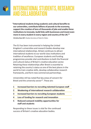# INTERNATIONAL STUDENTS, RESEARCH AND COLLABORATION

**"International students bring academic and cultural benefits to our universities, contribute billions of pounds to the economy, support the creation of tens of thousands of jobs and enable these institutions to innovate, build links with businesses and invest even more in every student in every region and country of the UK."<sup>9</sup>**

**Christina Rees MP**, Shadow Secretary of State for Wales

The EU has been instrumental in helping the United Kingdom's universities and research bodies develop new international relationships. Britain continues to attract international students to our world-class institutions and tradition of excellence. European students and funding programmes provide vital contributions to both the financial and cultural status of Britain's creative education sector. Retaining these relationships after Brexit is essential to retaining the country's status as one of the best places in the world to train creative skills, develop collaborative research frameworks, and form new commercial partnerships.

Universities UK has noted five key areas of concern for Brexit and the university sector<sup>10</sup>. These are:

- **1 Increased barriers to recruiting talented European staff**
- **2 Weakening of international research collaboration**
- **3 Increased barriers to recruiting European students**
- **4 Loss of funding for research and innovation**
- **5 Reduced outward mobility opportunities for staff and students**

Responding to these issues is vital for the continued success of Britain's creative education bodies.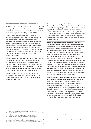#### **International Students and Academics**

The UK's creative HEIs attract the best talent from other EU nations, both as students and academics. Between 2014/15 and 2015/16, the overall number of EU domiciled students increased by 2 percent from 124,575 to 127,440 $^{11}$ .

As the Creative Industries Federation has noted<sup>12</sup>, EU students are especially relevant to the Britain's top HEIs, accounting for a much higher proportion of total enrolment at institutions such as University of the Arts London (13 percent), the Courtauld Institute of Art (15 percent) and the Glasgow School of Arts (16 percent)<sup>13</sup> than many comparative institutions. In addition to this tradition of excellence, EU students are also attracted to the UK by the relative ease of relocation to the UK due to EU-wide freedom of movement, and our diverse, student-friendly cities.

However, Brexit has placed this reputation at risk. Despite the overall resilience of the creative education sector, figures show a marked decrease in applications from EU member states for other academic disciplines. Applications to study in the UK fell by 4 percent between 2016/17 and 2017/18, with the fall even more pronounced amongst those from European Union countries at 5 percent<sup>14</sup>.

To ensure that Britain's creative HEIs remain attractive place to study and work, policy makers should seek to respond to identified threats, as well as building upon institutional strengths.

**Guarantee residency rights in the UK for current academic staff and their families.** Although the Government has made a commitment regarding the status of EU citizens and their dependents after Brexit<sup>15</sup>, the final commitment remains a source of contention between UK and EU negotiators<sup>16</sup>. Government must give clarity on the matter to ensure that EU nationals working in the university sector are granted permanent leave to remain in the UK, as well as full access to public services.

**Reform immigration processes for international staff and students**. International students and university staff provide an invaluable contribution to the creative economy. However, the current immigration system acts against this, with a complex visa regime and numerous costs acting as a barrier to prospective students and academics. Government should use Brexit as an opportunity to revamp the existing system by reducing bureaucracy and streamlining the application process. Attracting more international students enjoys overwhelming public support. Two thirds of British adults feel that international students have a positive impact on the local economies of the towns and cities in which they study, whilst three quarters believe that they should be given the opportunity to work for a set period of time following graduation. Additionally, only a quarter of those surveyed feel that international students should count towards the immigration figures $^{17}$ .

**Continue membership and participation in the Erasmus and Marie Skłodowska-Curie Actions programmes.** Schemes such as this provide British students and academics the opportunity to develop their studies and research opportunities, as well as giving them access to new international networks and will help to give British students the skills needed to thrive in a global, free-trading economy. In particular, the Innovative Training Networks<sup>18</sup> aims to provide early-stage researchers with the training required to turn creative ideas into commercially viable products – an area of vital importance to the creative industries.

9 C. Rees International Students Hansard [Vol. 620] (23rd January 2017)

- 10 Universities UK, Policy priorities to support universities to thrive post-exit, (June 2017)
- 11 HESA, Higher education student enrolments and qualifications obtained at higher education providers in the United Kingdom 2015/16, (Retrieved: 26th July, 2017)
- 12 Creative Industries Federation, Brexit Report, (October 2016), pg. 18
- 13 Complete Universities Guide, Open Access Data (Retrieved 26th July, 2017)
- 14 BBC News, UK university applications fall by 4%, Ucas figures show (13th July, 2017)
- 15 HM Government, The United Kingdom's exit from the European Union: safeguarding the position of EU citizens living in the UK and UK nationals living in the EU (26th June, 2017)<br>16 BBC News. Brexit: UK and EU still solit
- 16 BBC News, Brexit: UK and EU still split on citizens' rights (25th July, 2017)
- 17 ComRes, Universities UK: Public perceptions of international students (12th April, 2017)
- 18 EU Commission, Innovative Training Networks MSCA-ITN-2017 (14th October, 2015)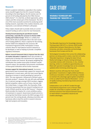#### **Research**

Britain's academic institutions, especially in the creative sector, benefit hugely from the EU's research funding. According to the latest figures, the UK receives over 15 percent of all funding allocated by the £70bn Horizon 2020 scheme<sup>19</sup>. It is vital that, as Brexit approaches, policy makers and HEIs remain part of this framework. The UK is one of the most successful countries for producing worldleading research, especially in the creative industries, and represents a core element of Britain's soft-power.

Policy makers should seek to provide clarity on current research funding as well as vision for new frameworks.

**Develop forward planning for post-Brexit research partnerships, especially the successor to Horizon 2020 funding and Creative Europe**. Whilst it is unlikely that Britain will be able to participate fully in the next round of EU funding platforms, there is capacity for the existing Horizon 2020 to be adapted for the successor, 9th Framework Programme (FP9). Participation in these schemes allow for international research networks to be developed, as well as helping to provide a simplified regulatory framework.

**Reform research framework data to improve how the value of creative education is captured**. Brexit also provides an opportunity to develop new mechanisms for capturing the scope of creative arts research. By properly weighting the contribution the creative sector gives to Britain's overall research output, the reputation and economic contribution of these great institutions will be further improved.

**Increase support for international research**. Successive governments have increased state support for research and development in recent years, with the most recent figures showing an increase in overall spending by 4 percent in 2015. This now represents 1.68 percent of Britain's gross domestic product<sup>20</sup>. However, this rate still ranks well below the 2.4 percent average amongst OECD members, lagging behind competitor nations such as France, German and the United States. In August 2016, the Chancellor, Philip Hammond, guaranteed that any research funding lost as a result of Brexit would be met by HM Treasury $^{21}$ . However, Brexit provides the impetus for a more ambitious policy of investment in research. Government should commit to ensuring that that Britain reaches the OECD average of 2.4 percent over the coming decade, allowing universities and businesses alike to lead the world in research-intensive, high-tech projects and innovation.

### CASE STUDY

#### **WEARABLE TECHNOLOGY AND TRAINING FOR "INDUSTRY 4.0" 22**

The Wearable Experience for Knowledge Intensive Training project (WE-KIT) is a Horizon 2020-funded collaboration between Ravensbourne, the Open University, and other universities and technology businesses from Europe and the UK.

Technological innovations from across the collaborating partners are being used to create a new form of media, 'Wearable Experience', bringing the latest Virtual Reality technology to industry training techniques. It provides trainees with immersive, in-situ, intuitive learning, similar to a traditional apprenticeship and fitted with specialist knowledge that can be constantly updated while minimising retraining costs.

Western countries still enjoy the fruits of past generations' investments in highly-skilled workforces. Continuous innovation in skills and training is needed to maintain this advantage against global competitors in the so-called Fourth Industrial Revolution – an era of rapidly-evolving manufacturing trends and smart automation.

Collaborations such as WE-KIT, funded through transnational programmes such as Horizon 2020, enable UK universities to exploit scientific and technical outcomes from beyond domestic borders to retain Britain's competitive industrial and creative advantages.

- 19 EU Commission, What is Horizon 2020? (Retrieved 26th July, 2017)
- 20 Office for National Statistics, UK gross domestic expenditure on research and development: 2015 (16th March, 2017)
- 21 HM Government, Chancellor Philip Hammond guarantees EU funding beyond<br>date UK leaves the EU (13th August, 2017)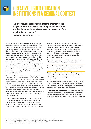

# CREATIVE HIGHER EDUCATION INSTITUTIONS IN A REGIONAL CONTEXT

**"No-one should be in any doubt that the intention of the UK government is to ensure that the spirit and the letter of the devolution settlement is respected in the course of the repatriation of powers."23**

**Damian Green MP**, First Secretary of State

Throughout the Brexit process, many commentators have stressed the importance of revitalising Britain's sovereignty, public accountability and democratic processes. It is vital that universities and creative education bodies make it clear to policy makers that the Brexit process is a two-way street, where powers that are returned from Brussels to Westminster are further granted to the Home Nations and local government. The current Government has been keen to promote their record of decentralisation; awarding new powers to the devolved Assemblies, establishing city deals with elected Mayors, and investing in infrastructure as part of the "Northern Powerhouse" or "Midlands Engine". However, more should be done to ensure that Brexit truly does lead to a radical reimagining of Britain's economy and democratic accountability. Creative HEIs must be at the forefront of this agenda.

Universities play a leading role in developing regional economies, especially in the creative industry sector. A 2016 study by the CBI found that areas with a high concentration of graduates are significantly more productive than those without. However, although the UK has a wide spread of world-class institutions, many university towns struggle to retain their graduates, with the majority moving to different areas after graduating $24$ . Despite this, students in the creative sector are more likely than other academic sectors to settle near to their graduate institution, especially in major urban areas $^{25}$ .

In a local authority landscape that is increasingly complex, it is vital that policy makers use the example of Brexit to develop a more collaborative approach to regional economic growth, bringing creative HEIs together with development agencies, councils and business associations. Universities UK has also noted a "growing consensus" and increased demand from organisations such as Local Enterprise Partnerships, Combined Authorities and Chambers of Commerce for universities to be more proactive in building new economic partnerships, as well as building upon existing ones $26$ . The creative disciplines are particularly well placed to be at the forefront of this agenda.

**Graduates in the sector have a number of key advantages in being able to promote regional development:**

**Nationwide Reach**: Creative HEIs are spread evenly across the country, ranging from major urban areas to multicampus, county universities and towns

**Commercial Acumen**: Students in creative subjects are significantly more likely than other subject areas to work with local businesses and designers to develop their portfolio work

**Business Development**: Universities and attached research bodies, such as PDR at Cardiff Metropolitan University, play a major role in helping recent graduates develop their innovative ideas in dedicated incubation hubs

**Multidisciplinary Collaboration**: HEIs are able to establish new creative and design partnerships across the creative sector to lead innovative new relationships, such as by bringing together sports scientists and computer animators

- 24 CBI, Unlocking Regional Growth: Understanding the Drivers of Productivity Across The UK's Regions and Nations (March 2017) pg. 23<br>25 Manchester City Council, Report on Graduate Employment and Retention (14 December 2011
- 25 Manchester City Council, Report on Graduate Employment and Retention (14 December 2011)
- 26 Universities UK, Response to 'Building Our Industrial Strategy: Green Paper (January 2017)

<sup>23</sup> Damian Green MP, Downing Street pledges to respect devolution during Brexit The Scotsman (20th July, 2017)<br>24 CBI. Unlocking Regional Growth: Understanding the Drivers of Productivity Across The UK's Regions and Nation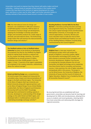Universities must work to improve how they interact with policy makers and local authorities – looking closely at examples of best practice in the creative sector. Creative HEIs have been at the forefront of regional development for many years, and there is a clear case for other higher and further education bodies to develop methods of best practice based around a number of case studies.

**PDR**, the International Centre for Design and Research, was established in 1994 and is based at Cardiff Metropolitan University. PDR has been at the forefront of product design and development, applying this knowledge to develop speculative designs and innovative products for a wide range of domestic and international clients. The forthcoming Design Action Plan will examine the interconnectivity between design and industry<sup>27</sup>.

**The Sheffield Institute of Arts at Sheffield Hallam University** has been at the forefront of developing the proposed City Deal for the Sheffield City Region, aimed at making South Yorkshire a national hub for the creative and design industries. The sector in Sheffield has an annual turnover £1 billion, employing more than 18,000 people in the city region. In total, 7.2 percent of the region's population are employed in the creative industries, substantively above the national average<sup>28</sup>.

**Bristol and Bath by Design** was a comprehensive 18-month project that mapped and measured the cumulative value, impact and interconnectedness of design in the Bath and Bristol region. The University of the West of England, Bath Spa University and Bristol University along with regional partners such as the West of England Design Forum, Bristol Media, Creative Bath, the West of England Local Enterprise Partnership (LEP) and the REACT Knowledge Exchange Hub contributed to building capacity in the area, developed an understanding of the design ecology on the wider Bristol and Bath region, and developed skills in multidisciplinary research and undertaking knowledge exchange activities<sup>29</sup>.

**Boosting Resilience: Survival Skills for the New Normal** is a boundary-pushing Executive Learning new programme led by City, University of London, The Culture Capital Exchange (TCCE) and Manchester Metropolitan University, to encourage arts and cultural organisations, museums, libraries and music education hubs to make the most of their Creative Assets and Intellectual Property. It is one of four Building Reliance initiatives currently being commissioned by Arts Council England<sup>30</sup>.

**Brighton Fuse** is a two-year research and development project which will analyse the growth of Brighton's successful creative, digital and information technology (CDIT) cluster, and pilot schemes to promote further innovation and economic development. Brighton Fuse focuses on analysing the interplay between the arts and humanities and digital technology and on explaining how these factors lead to innovation and business success. It also examines the role of higher education and graduate skills in this process. The project is run by Wired Sussex, the University of Brighton, the University of Sussex and the Council of Industry & Higher Education. Brighton Fuse is funded by the Arts & Humanities Research Council<sup>31</sup>.

By ensuring formal links are established with local government, universities can become hubs for learning and development for SMEs and microbusinesses, allowing firms access to students and recent graduates, retaining talent from local universities and redressing skills shortages for regional economies.

27 PDR, About (Retrieved 27th July, 2017)

- 28 Sheffield Institute of Arts: Sheffield Hallam University, Economic Impact (Retrieved 27th July, 2017)<br>29 Bristol and Bath By Design. About (Retrieved 27th July, 2017)
- 29 Bristol and Bath By Design, About (Retrieved 27th July, 2017)<br>30 Boosting Resilience: Survival Skills for the New Normal (Retrie
- 30 Boosting Resilience: Survival Skills for the New Normal (Retrieved 22nd August, 2017)

31 Brighton Fuse, About (Retrieved 27th July, 2017)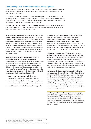#### **Spearheading Local Economic Growth and Development**

Britain's creative higher education institutions already play a major role in regional economic development – but they must be more proactive in how they work with businesses and public bodies to further this.

An April 2017 report by Universities UK found that HEIs play a substantive role across the country, providing 27,375 jobs and contributing £1.5 billion to the economy of Yorkshire and the Humber, 31,085 jobs and £1.7 billion to the economy of the North West of England; and 56,896 jobs and £3.7 billion to the economy of London<sup>32</sup>.

However, there is potential for substantially greater growth, and this should be developed in the light of Brexit. Policy makers can help to build upon these university-wide and creative industry-specific strengths in a number of areas.

**Showcasing how creative HEI research and outputs can be used as a driver for local regional economies**. The success of national campaigns such the Year of Irish Design and the Helsinki World Design Capital have been instrumental of raising the profile of national art, design, creative media, and craft<sup>33</sup>. Policy makers should use the run-up to Brexit to demonstrate Britain's world-leading creative industries, showcasing regional prowess. The sector should be further integrated into the 2018's Great Exhibition of the North, and similar projects

#### **Widening Research and Development Tax Credits to increase the scope of the regional supply chain**.

According to research by the tax consultancy Forrest Brown, 73 percent of businesses believe that Brexit makes the Government's extra spending on R&D more important, although only a quarter of the microbusinesses have ever made use of government funding<sup>34</sup>. Following on from the Design Business Association's submission to the Industrial Strategy Consultation, policy makers should:

- Seek to boost the resources available to local businesses by continuing to support the scheme
- Allow universities and other bodies to promote them to local businesses, start-ups and graduate entrepreneurs
- Permit freelancers to claim for them where applicable

**Increasing access to regional case studies and statistics**. Many HEIs wish to ensure that their research and development programmes are better targeted to the demands of local businesses and development organisations. By pooling existing data from the Office for National Statistics and other Government bodies, as well as widening the scope of the information gathered, creative faculties will be better able to tailor their research

**Establishing a Creative Industries Catapult to provide business incubation and expertise for art and design**. The UK's network of Catapult centres has been at the forefront of new technological innovations across the country. Establishing a new Catapult centre focused on the creative industries will allow for high-value creative projects to be taken to the next level by bringing together businesses and academics to develop innovative new ideas

**Incorporating dedicated support for creative industries into regional development funds**. By giving city regions the powers to establish new, focused programs to showcase new developments in creative industry policy, regional economies can further specialise in areas of creative expertise. Universities and local authorities should seek to establish design centre associations, business incubators and designers in residence to develop new links and open new opportunities for creative students to demonstrate the practical value of their skills.

**Introducing a nationwide brokerage system to highlight new collaborative opportunities for SMEs**. In light of the recommendations of 2015's Downing Review<sup>35</sup>, policy makers should introduce a new means of supporting collaborative efforts between creative HEIs and businesses by establishing an online portal to help identify potential research partners.

- 32 Universities UK, The industrial strategy and universities: regional briefings (18th April 2017)
- 33 S. Heller, The Next World Design Capital: Ireland? The Atlantic, (7th April, 2011)
- ForrestBrown, Igniting Innovation, (6th March 2017)
- 35 HM Government, The Dowling Review of Business-University Research Collaborations, (July 2015)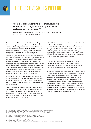

# THE CREATIVE SKILLS PIPELINE

#### **"[Brexit] is a chance to think more creatively about education provision, as art and design are under real pressure in our schools."36**

**Tristram Hunt,** former Member of Parliament for Stoke-on-Trent Central and Director of the Victoria and Albert Museum

**The creative industries are a true British success story. Domestic strength in a range of cultural and artistic skills has been enhanced by an attractive business climate and access to the best international talent. The UK is an open, multicultural and dynamic country, and these inherent strengths will not be affected by the Brexit process.** 

However, despite Government assurances that leaving the European Union will not lead to a "cliff edge" with regard to immigration<sup>37</sup> and the announcement of an independent, evidence-based review of the migration system<sup>38</sup>, Brexit has brought the long-standing skills shortage in the creative industries into urgent context. Industry groups such as the CIF and the Design Business Association have noted the lack of trained domestic talent in various creative disciplines, especially animation, visual effects, and video games<sup>39</sup>, all examples of high-level skills with strategic reach.

Whilst it is vital that Britain's universities and businesses can continue to attract the best people and practices from abroad, it is also clear that cultivating more home-grown talent must be prioritised by HEIs and policy makers in the immediate future.

In a statement to the House of Commons in March 2017, the Secretary of State for Digital, Culture, Media and Sport, Karen Bradley, confirmed that the creative industries would form a core part of the industrial strategy, and that developing the skills pipeline would be a central aspect to Sir Peter Bazalgette's sector review<sup>40</sup>.

In the APDIG's submission to the Government's Industrial Strategy in April 2017, the majority of design firms surveyed by the DBA and British Industrial Designers Association (BIDA) said that there would be a shortage of industryready designers, with a consensus of those surveyed supporting the view that it is difficult to recruit the right design staff because of lack of suitable skills. A statement by WPA Pinfold was typical of this attitude:

*"Recruitment has been a major issue for us – the equivalent level of talent to London is not widely available. We are having to train up design graduates, at our own cost – hence our Design Academy."* <sup>41</sup>

Despite this attitude, the UK's creative HEIs are still a major business creator. As Baroness Rebuck noted in a House of Lords debate on the creative industries in January 2017, the Royal College of Art launches more new businesses than any other university<sup>42</sup>. Equally, programmes such as the aforementioned Brighton Fuse – a research and development project run by Wired Sussex, the University of Brighton, the University of Sussex and the Council of Industry and Higher Education – has focused on examining the relationship between creative higher education and the graduate skills required by local employers<sup>43</sup>.

- 37 The Guardian, Brexit won't mean 'cliff-edge' shift in migration policy, minister says (15th March, 2017)
- 38 Financial Times, Amber Rudd: A post-Brexit immigration system that works for all (27th July, 2017)
- 39 Creative Industries Federation, Social Mobility and the Skills Gap (October 2016) 40 Bradley K, Creative Industries: Skills Hansard [Vol. 623] (16th March, 2017)
- 41 WPA Pinfold, Evidence to the APDIG-DBA Industrial Strategy Consultation, (March 2017)
- 42 Rebuck B. Brexit: Creative Industries Hansard [Vol. 778] (19th January, 2017)
- 
- 43 Brighton Fuse, About (Retrieved 27th July, 2017)<br>44 HM Government. IP and BREXIT: The facts (20th 44 HM Government, IP and BREXIT: The facts (20th July, 2017)
- 45 Chartered Institute of Trade Mark Attorneys, Our position on: Post-Brexit registered trade mark and design rights, and rights of representation (July 2017)

<sup>36</sup> Hunt T, Leaving the EU: Security, Law Enforcement and Criminal Justice Hansard [Vol. 623] (18th January 2017)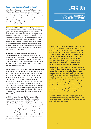#### **Developing Domestic Creative Talent**

To build upon the domestic prowess of Britain's creative HEIs, policy makers and university leaders should seek to bring about various reforms within the higher and further education system, as well as working with businesses and Government departments to develop the UK's domestic skills pipeline to help guard against expected economic shocks following Brexit, and develop a framework for long-term and sustainable creative education.

**Move from STEM to STEAM by giving strategic priority for creative education in education and research funding cycles**. Government should give consideration to an increase of the number of research studentships outside of Science, Technology, Engineering and Maths (STEM) subjects to support study in creative and digital subjects. Adding "Art" to the existing acronym to create (STEAM) is something that will have a systemic institutional change for Britain's universities. This should also be developed by increasing funding for PhD training places in art and design, especially those that support new and emerging inter-disciplinary approaches.

#### **Fully incorporating art and design into the English**

**Baccalaureate**. In order to ensure that universities and colleges are able to build upon existing skills, Government should reconsider the decision to exclude art and design from the English Baccalaureate (EBacc) and ensure that all secondary students have the opportunity to learn these vital creative and technical skills.

**Retaining access to the EU Intellectual Property Office (IPO)**. The European Union's harmonised market for IP rights is vital for British designers and creative professions to protect and share products throughout the EU and European Economic Area, an area that is vital for British-designers to remain competitive on the international marketplace. Whilst the Government's commitment to remain part of the Madrid System is welcome<sup>44</sup>, policy makers should follow the recommendations of the Chartered Institute of Trade Mark Attorneys (CITMA) and guarantee continued access to the EU IPO in Alicante and ensure that existing EU registered trade mark and design rights continue to cover the UK<sup>45</sup>.

**Establish a partnership with the UK Research Office to develop a long-term approach into how the creative education sector can work with businesses**. The UK's universities and colleges are at the forefront of the creative industries agenda, but often lack the information and sector knowledge required to train their students in the skills businesses require. By bringing these two sectors of the economy together, allowing for more students to benefit from more cohesive degree programmes and develop skills that are more applicable to employers, Britain's creative HEIs can continue to work with businesses to create new jobs, businesses and exports.

### CASE STUDY

#### **BESPOKE TAILORING COURSES AT NEWHAM COLLEGE, LONDON46**

Newham College, London has a long history of support for the fashion industry, and in addition to college courses, also owns the Fashion and Textile Museum, a highly successful exhibition and training centre for the sector. With a strong commitment to vocational training and employability, in 2004 the College was introduced to a group of Savile Row companies concerned about the growing skills shortages in bespoke tailoring, as very few young people were being trained in this exacting craft profession.

In partnership with the Savile Row Bespoke Association, Newham College designed a programme of unique new courses that have since enabled hundreds of young people to develop the specialist skills and knowledge needed for employment in the sector. Open to 16-18 and 19+ year old students, the full College programme provides introductory, intermediate, and advanced level courses that start each September. Delivered in industry-standard workshops, courses are highly practical and focus on the development of students' sewing, garment construction, pattern cutting and tailoring craft skills, plus the development of the professionalism and industry knowledge they need for future employment.

Newham College's bespoke tailoring programme has established a new and highly effective route to skilled garment production employment, and attracts students from throughout the UK and EU.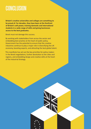# **CONCLUSION**

**Britain's creative universities and colleges are something to be proud of. For decades, they have been at the forefront of Britain's soft power, training domestic and international students in a wide range of skills and giving businesses access to the best graduates.**

Brexit must not damage this success.

By working with stakeholders from across the sector and embedding best practice at the heart of public policy, Government has the potential to ensure that the creative industries continue to play a major role in diversifying the UK economy, boosting exports, and attracting the best global talent.

This manifesto has set out the key priorities for policy makers in the Brexit negotiations, further devolution to the cities and regions, and embedding design and creative skills at the heart of the Industrial Strategy.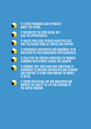

IT IS BOTH PRAGMATIC AND OPTIMISTIC ABOUT THE FUTURE.

IT RECOGNISES THE RISKS AHEAD, BUT ALSO THE OPPORTUNITIES.



IT ARGUES FOR CLEAR, EVIDENCE-BASED POLICIES THAT POLITICIANS FROM ALL PARTIES CAN SUPPORT.



IT ENCOURAGES UNIVERSITIES AND ACADEMICS TO BE PRO-ACTIVE IN THEIR ENGAGEMENT WITH BUSINESSES.



IT CALLS FOR THE CREATIVE INDUSTRIES TO PROMOTE ECONOMIC DEVELOPMENT ACROSS THE COUNTRY.

IT DEMANDS THAT THOSE WHO HAVE SOMETHING TO CONTRIBUTE TO BRITAIN'S UNIVERSITIES AND ECONOMY CAN CONTINUE TO COME FROM AROUND THE WORLD TO DO SO.



IT SHOWS HOW DESIGN, ART AND INNOVATION CAN IMPROVE THE QUALITY OF LIFE FOR EVERYONE IN THE UNITED KINGDOM.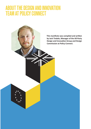### ABOUT THE DESIGN AND INNOVATION TEAM AT POLICY CONNECT

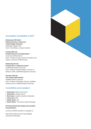#### **Consultation roundtables in 2017**

**Wednesday 15th March "Exploring Themes in Brexit and Creative Higher Education"** Edinburgh College of Art Chair: Clive Gillman, Creative Scotland

#### **Tuesday 20th June**

**"Creative Research and Collaboration"** University of Westminster Chair: Dr Gillian Youngs, Head of Innovation and Impact, University of Westminster

**Wednesday 5th July "Creative HEIs in a Regional Context"** Cardiff Metropolitan University Chair: Professor Andrew Walters, Director of Research, PDR, Cardiff Metropolitan University

**Thursday 13th July "The Creative Skills Pipeline"** Sheffield Hallam University Chair: Professor Sally Wade, Director, Sheffield Institute of Arts, Sheffield Hallam University

#### **Consultation event speakers**

- **Shade Ajayi**, Welsh Government
- **Sally Benton**, Design Council
- **Eliza Easton**, Creative Industries Federation
- **Joshua Hart**, PDR
- **Sophie Hunter**, IVE
- **Evelyn Wilson**, The Culture Capital Exchange

#### **All-Party Parliamentary Design and Innovation Group Members**

A full list of APDIG members is available at:

http://www.policyconnect.org.uk/apdig/ associate-membership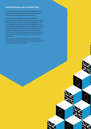#### **About the Design and Innovation Team**

The All-Party Parliamentary Design and Innovation Group and Design Commission are part of the Manufacturing, Design and Innovation team at Policy Connect.

Policy Connect is the go-to cross-party think tank, successfully delivering new policy ideas through research, evidence, political meetings and sector engagement. With no set ideology, we recommend the best approach from facts and data, and help influence policy decisions and lawmaking. We find the common ground and build consensus to improve public policy. We do this by running forums, commissions and All-Party Parliamentary Groups. We have overseen the research and delivery of more than 50 key publications.

This report is not an official publication of the House of Commons or the House of Lords. It has not been approved by either House or its committees.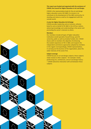#### **This report was funded and organised with the assistance of CHEAD, the Council for Higher Education in Art and Design.**

CHEAD is the representative body for the art and design higher education sector (HE A&D). Its mission is to contribute to the development of the A&D community, its standing and stature as well as its engagement with the outside world.

#### **A voice for Higher Education Art & Design**

CHEAD provides leadership and an inclusive, cohesive body for and on behalf of HE A&D in the UK four nations, advancing knowledge and understanding in the sector and promoting the sector's interests to others.

#### **Members**

Our members include all types of higher education institutions (small-specialist, Russell Group, post-92 university, public as well as privately funded, etc). CHEAD shares with its members the objective of enhancing the student experience of HE in A&D, and respects the independent and diverse approaches adopted by members in this regard. Correspondingly, CHEAD representatives, in carrying out the business of the organisation, place the wider interests of the sector first.

#### **Subject coverage**

CHEAD focuses on art and design subjects; these subjects relate closely to other subjects – for example: media, performing arts, architecture, and art and design history – CHEAD welcomes interaction with and between these subjects.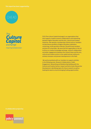#### **This report has been supported by:**





TCCE (The Culture Capital Exchange) is an organisations that that supports creative research collaborations and networking between Higher Education and the Arts, Cultural and Creative Industries. We operate a membership scheme and our members include diverse portfolio of Higher Education institutions comprising; small specialist institutes, Russell Group members and post-92 universities. We were the first organisation in the UK to focus on creative knowledge exchange, research collaboration and wider engagements between the research base and the arts, cultural and creative sectors in the capital and we continue to actively champion and pioneer developments in this field.

 We work proactively with our members to support activities in the following areas: Research Collaborations, Public Engagement, Networking and Relationship Building with the Cultural and Creative Sectors; Impact and Early Career Researcher Development, identifying topics for future research as well as leading bid swarms around emerging funding opportunities.